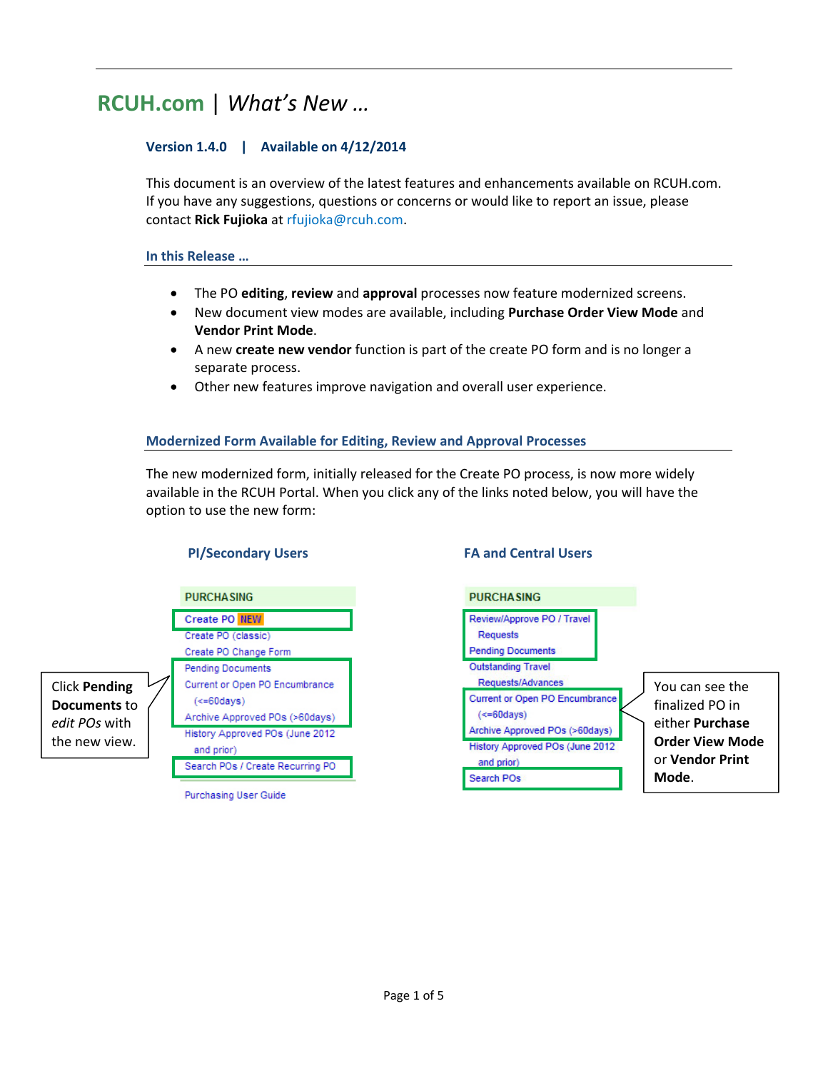# **RCUH.com** | *What's New …*

# **Version 1.4.0 | Available on 4/12/2014**

This document is an overview of the latest features and enhancements available on RCUH.com. If you have any suggestions, questions or concerns or would like to report an issue, please contact **Rick Fujioka** at rfujioka@rcuh.com.

# **In this Release …**

- The PO **editing**, **review** and **approval** processes now feature modernized screens.
- New document view modes are available, including **Purchase Order View Mode** and **Vendor Print Mode**.
- A new **create new vendor** function is part of the create PO form and is no longer a separate process.
- Other new features improve navigation and overall user experience.

# **Modernized Form Available for Editing, Review and Approval Processes**

The new modernized form, initially released for the Create PO process, is now more widely available in the RCUH Portal. When you click any of the links noted below, you will have the option to use the new form:



Purchasing User Guide

# **PI/Secondary Users FA and Central Users**

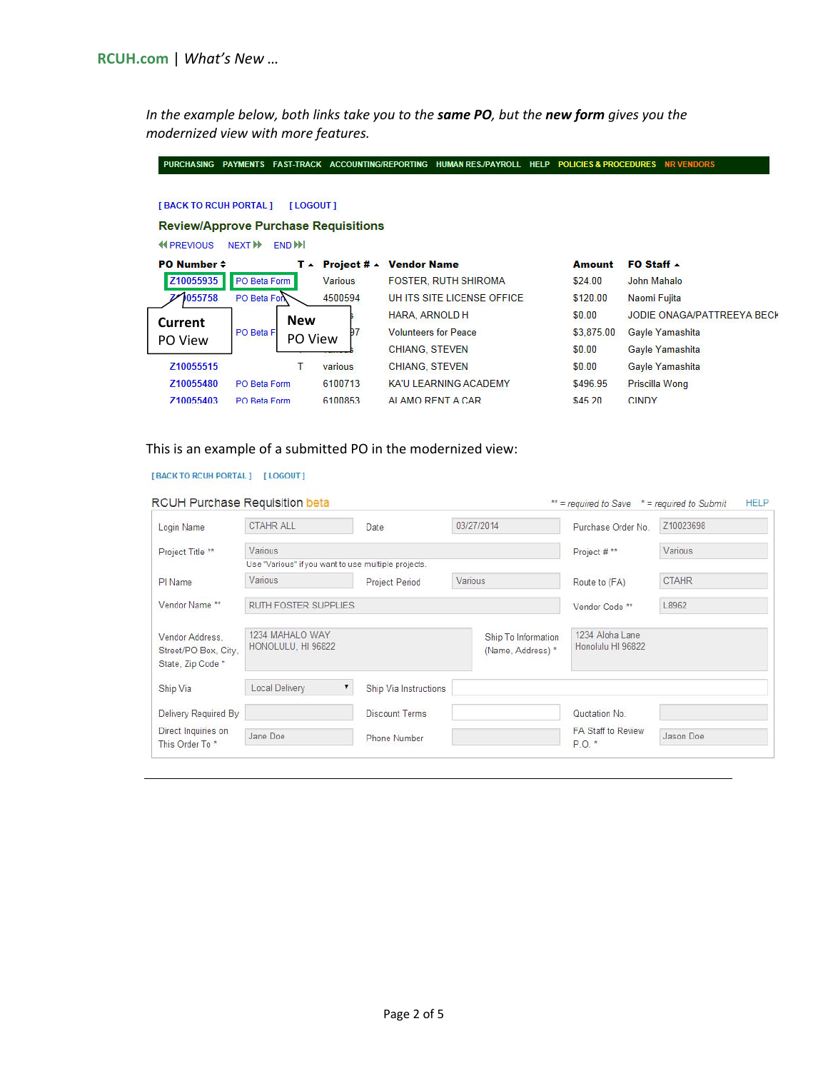In the example below, both links take you to the same PO, but the new form gives you the *modernized view with more features.*

| <b>PURCHASING</b>             | <b>PAYMENTS</b><br><b>FAST-TRACK</b>        | <b>ACCOUNTING/REPORTING</b> |                       | <b>HUMAN RES./PAYROLL</b>   | <b>HELP</b> | <b>POLICIES &amp; PROCEDURES</b> | <b>NR VENDORS</b>          |
|-------------------------------|---------------------------------------------|-----------------------------|-----------------------|-----------------------------|-------------|----------------------------------|----------------------------|
| <b>[BACK TO RCUH PORTAL ]</b> | [LOGOUT]                                    |                             |                       |                             |             |                                  |                            |
|                               | <b>Review/Approve Purchase Requisitions</b> |                             |                       |                             |             |                                  |                            |
| <b>44 PREVIOUS</b>            | END <sup>H</sup><br>NEXT <sup>I</sup>       |                             |                       |                             |             |                                  |                            |
| PO Number $\div$              | T ▲                                         | Project # -                 | <b>Vendor Name</b>    |                             |             | <b>Amount</b>                    | FO Staff -                 |
| Z10055935                     | PO Beta Form                                | <b>Various</b>              |                       | <b>FOSTER, RUTH SHIROMA</b> |             | \$24.00                          | John Mahalo                |
| 1055758                       | PO Beta Fon                                 | 4500594                     |                       | UH ITS SITE LICENSE OFFICE  |             | \$120.00                         | Naomi Fujita               |
| Current                       | <b>New</b>                                  |                             | HARA, ARNOLD H        |                             |             | \$0.00                           | JODIE ONAGA/PATTREEYA BECK |
|                               | PO Beta F<br>PO View                        | 97                          |                       | <b>Volunteers for Peace</b> |             | \$3,875.00                       | Gayle Yamashita            |
| PO View                       |                                             |                             | <b>CHIANG, STEVEN</b> |                             |             | \$0.00                           | Gayle Yamashita            |
| Z10055515                     | Τ                                           | various                     | <b>CHIANG, STEVEN</b> |                             |             | \$0.00                           | Gayle Yamashita            |
| Z10055480                     | PO Beta Form                                | 6100713                     |                       | KA'U LEARNING ACADEMY       |             | \$496.95                         | Priscilla Wong             |
| 710055403                     | PO Beta Form                                | 6100853                     |                       | ALAMO RENT A CAR            |             | \$45.20                          | <b>CINDY</b>               |

# This is an example of a submitted PO in the modernized view:

#### [BACK TO RCUH PORTAL] [LOGOUT]

#### RCUH Purchase Requisition beta

| Login Name                                                   | <b>CTAHR ALL</b>                                    |                           | Date                  | 03/27/2014                               | Purchase Order No.                   | Z10023698    |  |
|--------------------------------------------------------------|-----------------------------------------------------|---------------------------|-----------------------|------------------------------------------|--------------------------------------|--------------|--|
| Project Title **                                             | Various                                             |                           |                       |                                          | Project # **                         | Various      |  |
|                                                              | Use "Various" if you want to use multiple projects. |                           |                       |                                          |                                      |              |  |
| PI Name                                                      | Various                                             | Various<br>Project Period |                       |                                          | Route to (FA)                        | <b>CTAHR</b> |  |
| Vendor Name **                                               | RUTH FOSTER SUPPLIES                                |                           |                       |                                          | Vendor Code **                       | L8962        |  |
| Vendor Address.<br>Street/PO Box, City,<br>State, Zip Code * | 1234 MAHALO WAY<br>HONOLULU, HI 96822               |                           |                       | Ship To Information<br>(Name, Address) * | 1234 Aloha Lane<br>Honolulu HI 96822 |              |  |
| Ship Via                                                     | Local Delivery                                      |                           | Ship Via Instructions |                                          |                                      |              |  |
| Delivery Required By                                         |                                                     |                           | <b>Discount Terms</b> |                                          | Quotation No.                        |              |  |
| Direct Inquiries on<br>This Order To*                        | Jane Doe                                            |                           | Phone Number          |                                          | FA Staff to Review<br>P.O. *         | Jason Doe    |  |

**HELP** 

 $**$  = required to Save  $*$  = required to Submit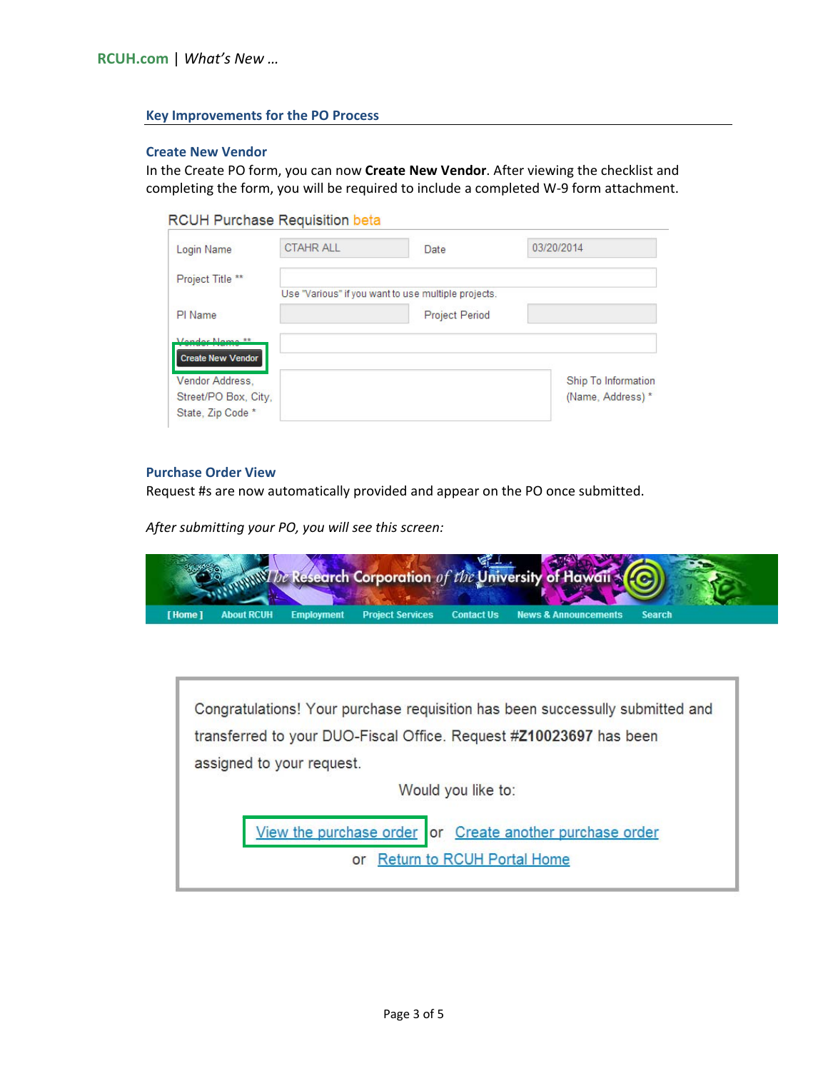### **Key Improvements for the PO Process**

#### **Create New Vendor**

In the Create PO form, you can now **Create New Vendor**. After viewing the checklist and completing the form, you will be required to include a completed W‐9 form attachment.

| Login Name               | <b>CTAHR ALL</b> | Date                                                | 03/20/2014          |
|--------------------------|------------------|-----------------------------------------------------|---------------------|
| Project Title **         |                  |                                                     |                     |
|                          |                  | Use "Various" if you want to use multiple projects. |                     |
| PI Name                  |                  | <b>Project Period</b>                               |                     |
| <i>Mandar</i> Nama **    |                  |                                                     |                     |
| <b>Create New Vendor</b> |                  |                                                     |                     |
|                          |                  |                                                     |                     |
| Vendor Address,          |                  |                                                     | Ship To Information |
| Street/PO Box, City,     |                  |                                                     | (Name, Address) *   |
| State, Zip Code *        |                  |                                                     |                     |

#### **Purchase Order View**

Request #s are now automatically provided and appear on the PO once submitted.

*After submitting your PO, you will see this screen:*

|                                      |                                    | WWW Ite Research Corporation of the University of Hawaii & CO |  |
|--------------------------------------|------------------------------------|---------------------------------------------------------------|--|
| <b>About RCUH</b><br><b>T</b> Home 1 | <b>Employment Project Services</b> | <b>News &amp; Announcements Search</b><br><b>Contact Us</b>   |  |

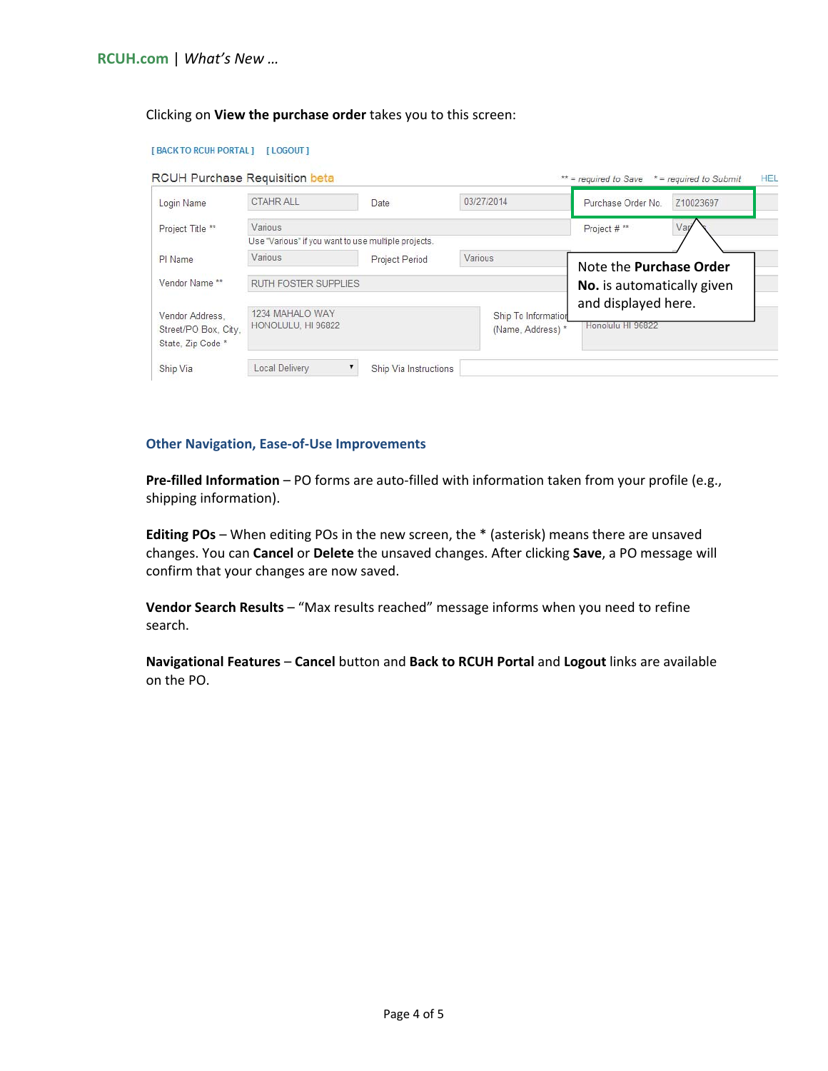#### Clicking on **View the purchase order** takes you to this screen:

| Login Name                                                  | <b>CTAHR ALL</b>                                    | Date           | 03/27/2014                               | Purchase Order No.<br>Z10023697          |  |  |
|-------------------------------------------------------------|-----------------------------------------------------|----------------|------------------------------------------|------------------------------------------|--|--|
| Project Title **                                            | Various                                             |                | Vari<br>Project #**                      |                                          |  |  |
|                                                             | Use "Various" if you want to use multiple projects. |                |                                          |                                          |  |  |
| PI Name                                                     | Various                                             | Project Period | Various                                  | Note the Purchase Order                  |  |  |
| Vendor Name **                                              | RUTH FOSTER SUPPLIES                                |                |                                          | No. is automatically given               |  |  |
| Vendor Address.<br>Street/PO Box, City,<br>State, Zip Code* | 1234 MAHALO WAY<br>HONOLULU, HI 96822               |                | Ship To Information<br>(Name, Address) * | and displayed here.<br>Honolulu HI 96822 |  |  |

#### **Other Navigation, Ease‐of‐Use Improvements**

**Pre‐filled Information** – PO forms are auto‐filled with information taken from your profile (e.g., shipping information).

**Editing POs** – When editing POs in the new screen, the \* (asterisk) means there are unsaved changes. You can **Cancel** or **Delete** the unsaved changes. After clicking **Save**, a PO message will confirm that your changes are now saved.

**Vendor Search Results** – "Max results reached" message informs when you need to refine search.

**Navigational Features** – **Cancel** button and **Back to RCUH Portal** and **Logout** links are available on the PO.